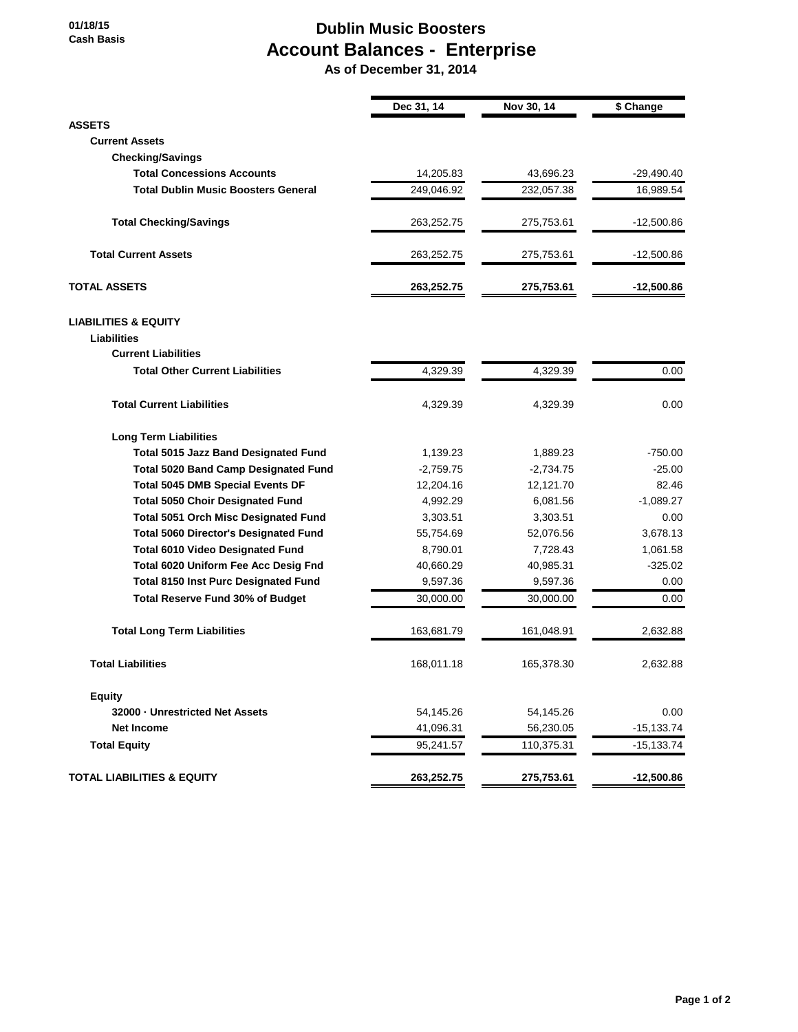## **Dublin Music Boosters Account Balances - Enterprise**

 **As of December 31, 2014**

|                                              | Dec 31, 14  | Nov 30, 14  | \$ Change    |
|----------------------------------------------|-------------|-------------|--------------|
| <b>ASSETS</b>                                |             |             |              |
| <b>Current Assets</b>                        |             |             |              |
| <b>Checking/Savings</b>                      |             |             |              |
| <b>Total Concessions Accounts</b>            | 14,205.83   | 43,696.23   | $-29,490.40$ |
| <b>Total Dublin Music Boosters General</b>   | 249,046.92  | 232,057.38  | 16,989.54    |
| <b>Total Checking/Savings</b>                | 263,252.75  | 275,753.61  | $-12,500.86$ |
| <b>Total Current Assets</b>                  | 263,252.75  | 275,753.61  | $-12,500.86$ |
| <b>TOTAL ASSETS</b>                          | 263,252.75  | 275,753.61  | $-12,500.86$ |
| <b>LIABILITIES &amp; EQUITY</b>              |             |             |              |
| <b>Liabilities</b>                           |             |             |              |
| <b>Current Liabilities</b>                   |             |             |              |
| <b>Total Other Current Liabilities</b>       | 4,329.39    | 4,329.39    | 0.00         |
| <b>Total Current Liabilities</b>             | 4,329.39    | 4,329.39    | 0.00         |
| <b>Long Term Liabilities</b>                 |             |             |              |
| <b>Total 5015 Jazz Band Designated Fund</b>  | 1,139.23    | 1,889.23    | $-750.00$    |
| <b>Total 5020 Band Camp Designated Fund</b>  | $-2,759.75$ | $-2,734.75$ | $-25.00$     |
| <b>Total 5045 DMB Special Events DF</b>      | 12,204.16   | 12,121.70   | 82.46        |
| <b>Total 5050 Choir Designated Fund</b>      | 4,992.29    | 6,081.56    | $-1,089.27$  |
| <b>Total 5051 Orch Misc Designated Fund</b>  | 3,303.51    | 3,303.51    | 0.00         |
| <b>Total 5060 Director's Designated Fund</b> | 55,754.69   | 52,076.56   | 3,678.13     |
| <b>Total 6010 Video Designated Fund</b>      | 8,790.01    | 7,728.43    | 1,061.58     |
| Total 6020 Uniform Fee Acc Desig Fnd         | 40,660.29   | 40,985.31   | $-325.02$    |
| <b>Total 8150 Inst Purc Designated Fund</b>  | 9,597.36    | 9,597.36    | 0.00         |
| <b>Total Reserve Fund 30% of Budget</b>      | 30,000.00   | 30,000.00   | 0.00         |
| <b>Total Long Term Liabilities</b>           | 163,681.79  | 161,048.91  | 2,632.88     |
| <b>Total Liabilities</b>                     | 168,011.18  | 165,378.30  | 2,632.88     |
| <b>Equity</b>                                |             |             |              |
| 32000 - Unrestricted Net Assets              | 54,145.26   | 54,145.26   | 0.00         |
| <b>Net Income</b>                            | 41,096.31   | 56,230.05   | $-15,133.74$ |
| <b>Total Equity</b>                          | 95,241.57   | 110,375.31  | $-15,133.74$ |
| <b>TOTAL LIABILITIES &amp; EQUITY</b>        | 263,252.75  | 275,753.61  | $-12,500.86$ |